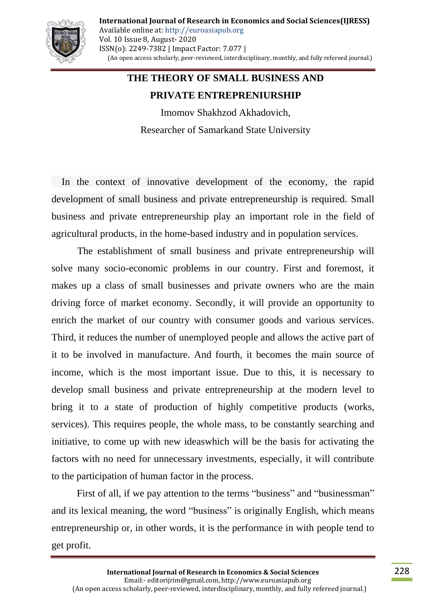

## **THE THEORY OF SMALL BUSINESS AND PRIVATE ENTREPRENIURSHIP**

Imomov Shakhzod Akhadovich, Researcher of Samarkand State University

In the context of innovative development of the economy, the rapid development of small business and private entrepreneurship is required. Small business and private entrepreneurship play an important role in the field of agricultural products, in the home-based industry and in population services.

The establishment of small business and private entrepreneurship will solve many socio-economic problems in our country. First and foremost, it makes up a class of small businesses and private owners who are the main driving force of market economy. Secondly, it will provide an opportunity to enrich the market of our country with consumer goods and various services. Third, it reduces the number of unemployed people and allows the active part of it to be involved in manufacture. And fourth, it becomes the main source of income, which is the most important issue. Due to this, it is necessary to develop small business and private entrepreneurship at the modern level to bring it to a state of production of highly competitive products (works, services). This requires people, the whole mass, to be constantly searching and initiative, to come up with new ideaswhich will be the basis for activating the factors with no need for unnecessary investments, especially, it will contribute to the participation of human factor in the process.

First of all, if we pay attention to the terms "business" and "businessman" and its lexical meaning, the word "business" is originally English, which means entrepreneurship or, in other words, it is the performance in with people tend to get profit.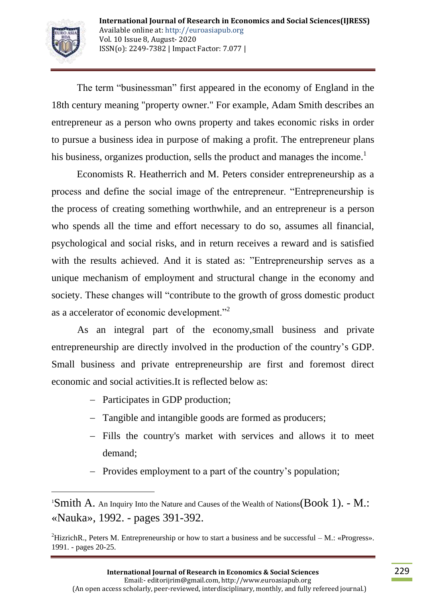

 $\overline{a}$ 

The term "businessman" first appeared in the economy of England in the 18th century meaning "property owner." For example, Adam Smith describes an entrepreneur as a person who owns property and takes economic risks in order to pursue a business idea in purpose of making a profit. The entrepreneur plans his business, organizes production, sells the product and manages the income.<sup>1</sup>

Economists R. Heatherrich and M. Peters consider entrepreneurship as a process and define the social image of the entrepreneur. "Entrepreneurship is the process of creating something worthwhile, and an entrepreneur is a person who spends all the time and effort necessary to do so, assumes all financial, psychological and social risks, and in return receives a reward and is satisfied with the results achieved. And it is stated as: "Entrepreneurship serves as a unique mechanism of employment and structural change in the economy and society. These changes will "contribute to the growth of gross domestic product as a accelerator of economic development."<sup>2</sup>

As an integral part of the economy,small business and private entrepreneurship are directly involved in the production of the country"s GDP. Small business and private entrepreneurship are first and foremost direct economic and social activities.It is reflected below as:

- Participates in GDP production;
- Tangible and intangible goods are formed as producers;
- Fills the country's market with services and allows it to meet demand;
- Provides employment to a part of the country's population;

<sup>&</sup>lt;sup>1</sup>Smith A. An Inquiry Into the Nature and Causes of the Wealth of Nations(Book 1). - M.: «Nauka», 1992. - pages 391-392.

<sup>&</sup>lt;sup>2</sup>HizrichR., Peters M. Entrepreneurship or how to start a business and be successful – M.: «Progress». 1991. - pages 20-25.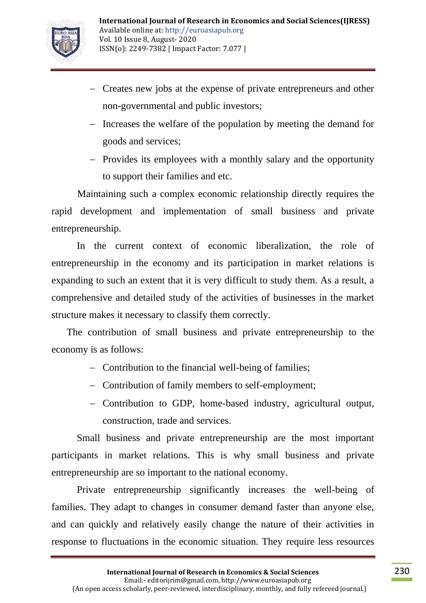

- Creates new jobs at the expense of private entrepreneurs and other non-governmental and public investors;
- Increases the welfare of the population by meeting the demand for goods and services;
- Provides its employees with a monthly salary and the opportunity to support their families and etc.

Maintaining such a complex economic relationship directly requires the rapid development and implementation of small business and private entrepreneurship.

In the current context of economic liberalization, the role of entrepreneurship in the economy and its participation in market relations is expanding to such an extent that it is very difficult to study them. As a result, a comprehensive and detailed study of the activities of businesses in the market structure makes it necessary to classify them correctly.

The contribution of small business and private entrepreneurship to the economy is as follows:

- Contribution to the financial well-being of families:
- Contribution of family members to self-employment;
- Contribution to GDP, home-based industry, agricultural output, construction, trade and services.

Small business and private entrepreneurship are the most important participants in market relations. This is why small business and private entrepreneurship are so important to the national economy.

Private entrepreneurship significantly increases the well-being of families. They adapt to changes in consumer demand faster than anyone else, and can quickly and relatively easily change the nature of their activities in response to fluctuations in the economic situation. They require less resources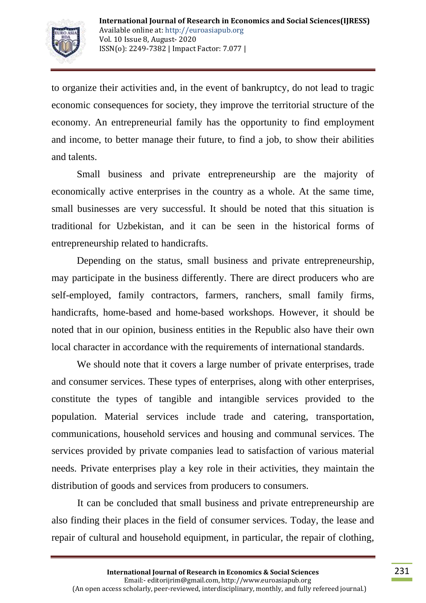

to organize their activities and, in the event of bankruptcy, do not lead to tragic economic consequences for society, they improve the territorial structure of the economy. An entrepreneurial family has the opportunity to find employment and income, to better manage their future, to find a job, to show their abilities and talents.

Small business and private entrepreneurship are the majority of economically active enterprises in the country as a whole. At the same time, small businesses are very successful. It should be noted that this situation is traditional for Uzbekistan, and it can be seen in the historical forms of entrepreneurship related to handicrafts.

Depending on the status, small business and private entrepreneurship, may participate in the business differently. There are direct producers who are self-employed, family contractors, farmers, ranchers, small family firms, handicrafts, home-based and home-based workshops. However, it should be noted that in our opinion, business entities in the Republic also have their own local character in accordance with the requirements of international standards.

We should note that it covers a large number of private enterprises, trade and consumer services. These types of enterprises, along with other enterprises, constitute the types of tangible and intangible services provided to the population. Material services include trade and catering, transportation, communications, household services and housing and communal services. The services provided by private companies lead to satisfaction of various material needs. Private enterprises play a key role in their activities, they maintain the distribution of goods and services from producers to consumers.

It can be concluded that small business and private entrepreneurship are also finding their places in the field of consumer services. Today, the lease and repair of cultural and household equipment, in particular, the repair of clothing,